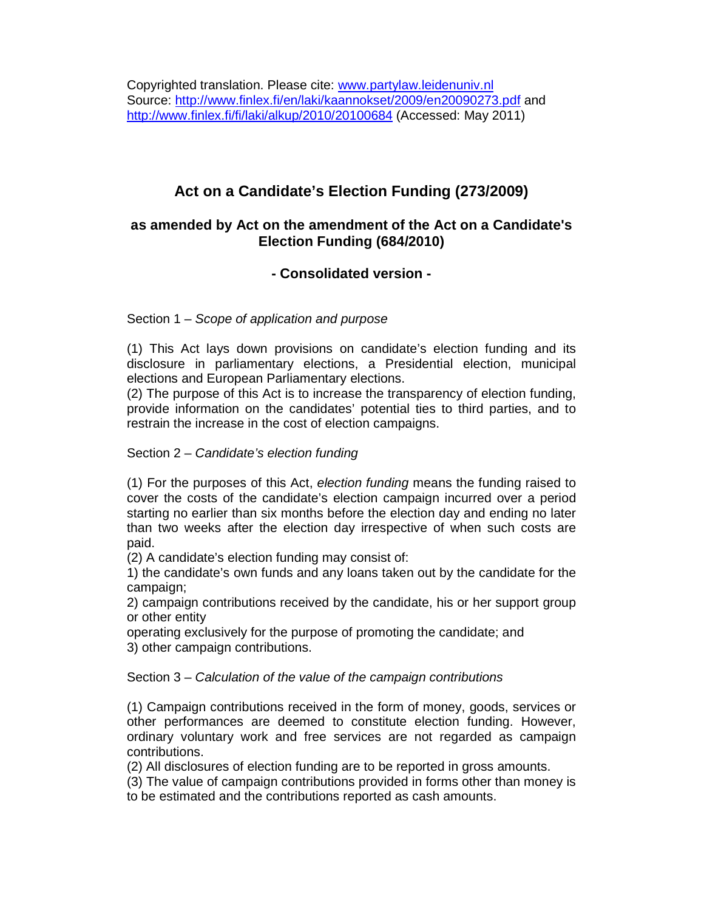# **Act on a Candidate's Election Funding (273/2009)**

## **as amended by Act on the amendment of the Act on a Candidate's Election Funding (684/2010)**

## **- Consolidated version -**

### Section 1 – Scope of application and purpose

(1) This Act lays down provisions on candidate's election funding and its disclosure in parliamentary elections, a Presidential election, municipal elections and European Parliamentary elections.

(2) The purpose of this Act is to increase the transparency of election funding, provide information on the candidates' potential ties to third parties, and to restrain the increase in the cost of election campaigns.

#### Section 2 – Candidate's election funding

(1) For the purposes of this Act, election funding means the funding raised to cover the costs of the candidate's election campaign incurred over a period starting no earlier than six months before the election day and ending no later than two weeks after the election day irrespective of when such costs are paid.

(2) A candidate's election funding may consist of:

1) the candidate's own funds and any loans taken out by the candidate for the campaign;

2) campaign contributions received by the candidate, his or her support group or other entity

operating exclusively for the purpose of promoting the candidate; and 3) other campaign contributions.

Section 3 – Calculation of the value of the campaign contributions

(1) Campaign contributions received in the form of money, goods, services or other performances are deemed to constitute election funding. However, ordinary voluntary work and free services are not regarded as campaign contributions.

(2) All disclosures of election funding are to be reported in gross amounts.

(3) The value of campaign contributions provided in forms other than money is to be estimated and the contributions reported as cash amounts.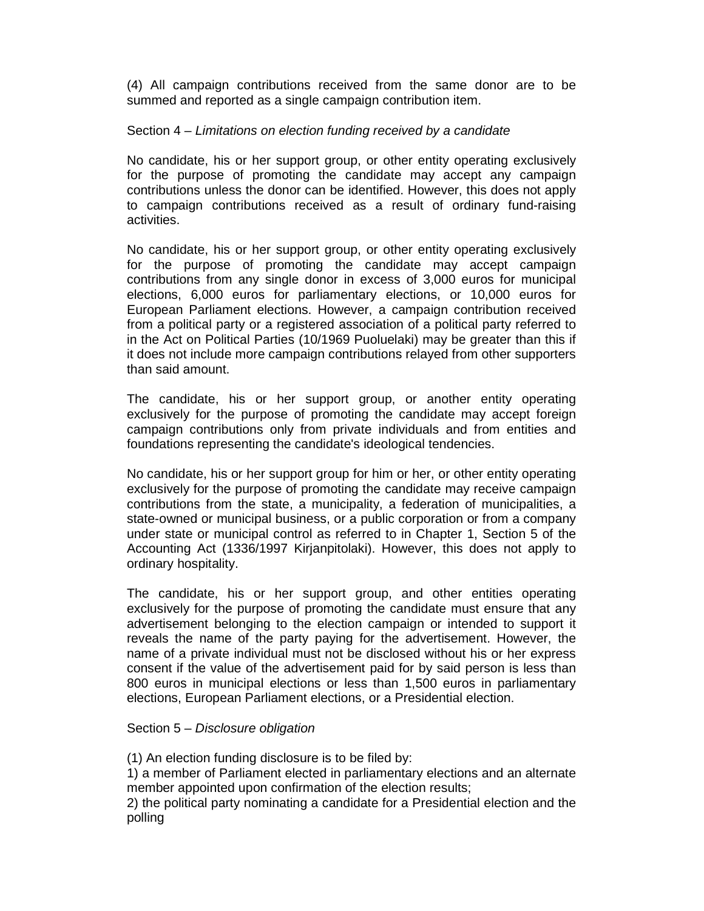(4) All campaign contributions received from the same donor are to be summed and reported as a single campaign contribution item.

#### Section 4 – Limitations on election funding received by a candidate

No candidate, his or her support group, or other entity operating exclusively for the purpose of promoting the candidate may accept any campaign contributions unless the donor can be identified. However, this does not apply to campaign contributions received as a result of ordinary fund-raising activities.

No candidate, his or her support group, or other entity operating exclusively for the purpose of promoting the candidate may accept campaign contributions from any single donor in excess of 3,000 euros for municipal elections, 6,000 euros for parliamentary elections, or 10,000 euros for European Parliament elections. However, a campaign contribution received from a political party or a registered association of a political party referred to in the Act on Political Parties (10/1969 Puoluelaki) may be greater than this if it does not include more campaign contributions relayed from other supporters than said amount.

The candidate, his or her support group, or another entity operating exclusively for the purpose of promoting the candidate may accept foreign campaign contributions only from private individuals and from entities and foundations representing the candidate's ideological tendencies.

No candidate, his or her support group for him or her, or other entity operating exclusively for the purpose of promoting the candidate may receive campaign contributions from the state, a municipality, a federation of municipalities, a state-owned or municipal business, or a public corporation or from a company under state or municipal control as referred to in Chapter 1, Section 5 of the Accounting Act (1336/1997 Kirjanpitolaki). However, this does not apply to ordinary hospitality.

The candidate, his or her support group, and other entities operating exclusively for the purpose of promoting the candidate must ensure that any advertisement belonging to the election campaign or intended to support it reveals the name of the party paying for the advertisement. However, the name of a private individual must not be disclosed without his or her express consent if the value of the advertisement paid for by said person is less than 800 euros in municipal elections or less than 1,500 euros in parliamentary elections, European Parliament elections, or a Presidential election.

#### Section 5 – Disclosure obligation

(1) An election funding disclosure is to be filed by:

1) a member of Parliament elected in parliamentary elections and an alternate member appointed upon confirmation of the election results;

2) the political party nominating a candidate for a Presidential election and the polling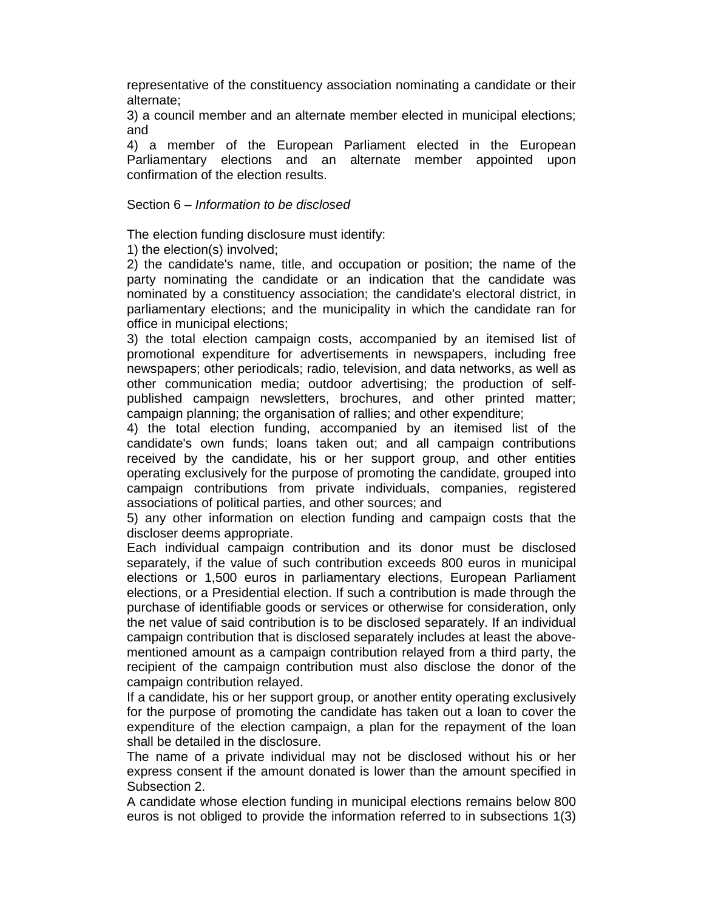representative of the constituency association nominating a candidate or their alternate;

3) a council member and an alternate member elected in municipal elections; and

4) a member of the European Parliament elected in the European Parliamentary elections and an alternate member appointed upon confirmation of the election results.

#### Section 6 – Information to be disclosed

The election funding disclosure must identify:

1) the election(s) involved;

2) the candidate's name, title, and occupation or position; the name of the party nominating the candidate or an indication that the candidate was nominated by a constituency association; the candidate's electoral district, in parliamentary elections; and the municipality in which the candidate ran for office in municipal elections;

3) the total election campaign costs, accompanied by an itemised list of promotional expenditure for advertisements in newspapers, including free newspapers; other periodicals; radio, television, and data networks, as well as other communication media; outdoor advertising; the production of selfpublished campaign newsletters, brochures, and other printed matter; campaign planning; the organisation of rallies; and other expenditure;

4) the total election funding, accompanied by an itemised list of the candidate's own funds; loans taken out; and all campaign contributions received by the candidate, his or her support group, and other entities operating exclusively for the purpose of promoting the candidate, grouped into campaign contributions from private individuals, companies, registered associations of political parties, and other sources; and

5) any other information on election funding and campaign costs that the discloser deems appropriate.

Each individual campaign contribution and its donor must be disclosed separately, if the value of such contribution exceeds 800 euros in municipal elections or 1,500 euros in parliamentary elections, European Parliament elections, or a Presidential election. If such a contribution is made through the purchase of identifiable goods or services or otherwise for consideration, only the net value of said contribution is to be disclosed separately. If an individual campaign contribution that is disclosed separately includes at least the abovementioned amount as a campaign contribution relayed from a third party, the recipient of the campaign contribution must also disclose the donor of the campaign contribution relayed.

If a candidate, his or her support group, or another entity operating exclusively for the purpose of promoting the candidate has taken out a loan to cover the expenditure of the election campaign, a plan for the repayment of the loan shall be detailed in the disclosure.

The name of a private individual may not be disclosed without his or her express consent if the amount donated is lower than the amount specified in Subsection 2.

A candidate whose election funding in municipal elections remains below 800 euros is not obliged to provide the information referred to in subsections 1(3)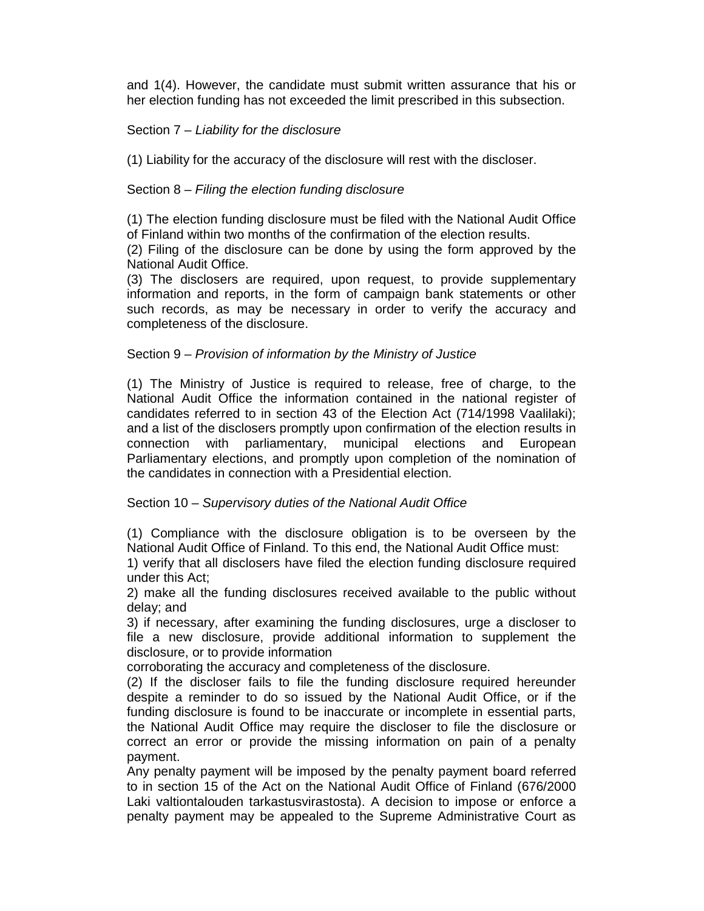and 1(4). However, the candidate must submit written assurance that his or her election funding has not exceeded the limit prescribed in this subsection.

#### Section 7 – Liability for the disclosure

(1) Liability for the accuracy of the disclosure will rest with the discloser.

#### Section 8 – Filing the election funding disclosure

(1) The election funding disclosure must be filed with the National Audit Office of Finland within two months of the confirmation of the election results.

(2) Filing of the disclosure can be done by using the form approved by the National Audit Office.

(3) The disclosers are required, upon request, to provide supplementary information and reports, in the form of campaign bank statements or other such records, as may be necessary in order to verify the accuracy and completeness of the disclosure.

#### Section 9 – Provision of information by the Ministry of Justice

(1) The Ministry of Justice is required to release, free of charge, to the National Audit Office the information contained in the national register of candidates referred to in section 43 of the Election Act (714/1998 Vaalilaki); and a list of the disclosers promptly upon confirmation of the election results in connection with parliamentary, municipal elections and European Parliamentary elections, and promptly upon completion of the nomination of the candidates in connection with a Presidential election.

#### Section 10 – Supervisory duties of the National Audit Office

(1) Compliance with the disclosure obligation is to be overseen by the National Audit Office of Finland. To this end, the National Audit Office must:

1) verify that all disclosers have filed the election funding disclosure required under this Act;

2) make all the funding disclosures received available to the public without delay; and

3) if necessary, after examining the funding disclosures, urge a discloser to file a new disclosure, provide additional information to supplement the disclosure, or to provide information

corroborating the accuracy and completeness of the disclosure.

(2) If the discloser fails to file the funding disclosure required hereunder despite a reminder to do so issued by the National Audit Office, or if the funding disclosure is found to be inaccurate or incomplete in essential parts, the National Audit Office may require the discloser to file the disclosure or correct an error or provide the missing information on pain of a penalty payment.

Any penalty payment will be imposed by the penalty payment board referred to in section 15 of the Act on the National Audit Office of Finland (676/2000 Laki valtiontalouden tarkastusvirastosta). A decision to impose or enforce a penalty payment may be appealed to the Supreme Administrative Court as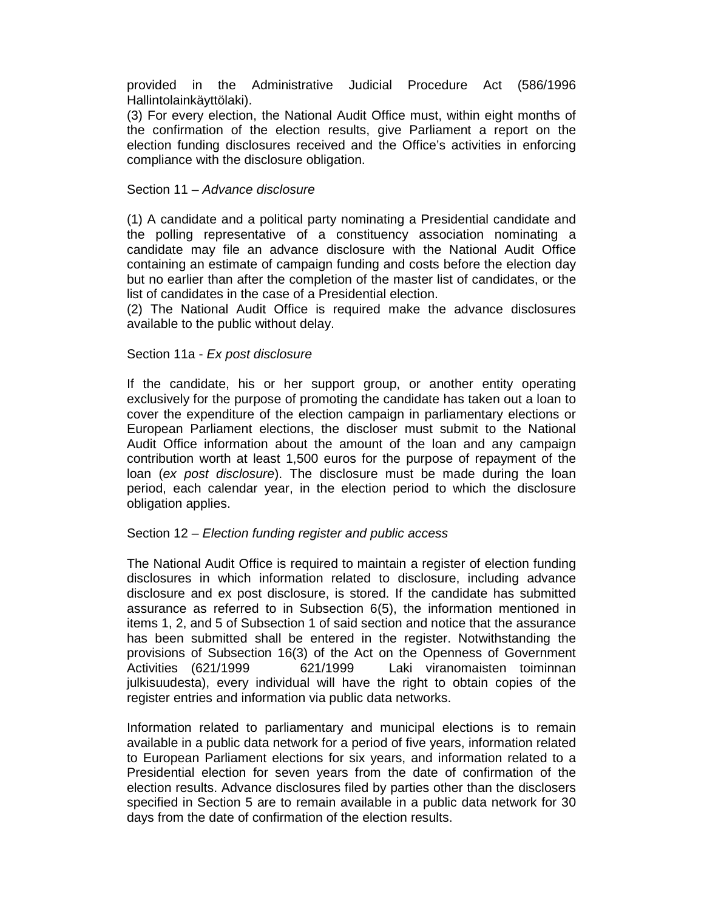provided in the Administrative Judicial Procedure Act (586/1996 Hallintolainkäyttölaki).

(3) For every election, the National Audit Office must, within eight months of the confirmation of the election results, give Parliament a report on the election funding disclosures received and the Office's activities in enforcing compliance with the disclosure obligation.

#### Section 11 – Advance disclosure

(1) A candidate and a political party nominating a Presidential candidate and the polling representative of a constituency association nominating a candidate may file an advance disclosure with the National Audit Office containing an estimate of campaign funding and costs before the election day but no earlier than after the completion of the master list of candidates, or the list of candidates in the case of a Presidential election.

(2) The National Audit Office is required make the advance disclosures available to the public without delay.

#### Section 11a - Ex post disclosure

If the candidate, his or her support group, or another entity operating exclusively for the purpose of promoting the candidate has taken out a loan to cover the expenditure of the election campaign in parliamentary elections or European Parliament elections, the discloser must submit to the National Audit Office information about the amount of the loan and any campaign contribution worth at least 1,500 euros for the purpose of repayment of the loan (ex post disclosure). The disclosure must be made during the loan period, each calendar year, in the election period to which the disclosure obligation applies.

#### Section 12 – Election funding register and public access

The National Audit Office is required to maintain a register of election funding disclosures in which information related to disclosure, including advance disclosure and ex post disclosure, is stored. If the candidate has submitted assurance as referred to in Subsection 6(5), the information mentioned in items 1, 2, and 5 of Subsection 1 of said section and notice that the assurance has been submitted shall be entered in the register. Notwithstanding the provisions of Subsection 16(3) of the Act on the Openness of Government Activities (621/1999 621/1999 Laki viranomaisten toiminnan julkisuudesta), every individual will have the right to obtain copies of the register entries and information via public data networks.

Information related to parliamentary and municipal elections is to remain available in a public data network for a period of five years, information related to European Parliament elections for six years, and information related to a Presidential election for seven years from the date of confirmation of the election results. Advance disclosures filed by parties other than the disclosers specified in Section 5 are to remain available in a public data network for 30 days from the date of confirmation of the election results.